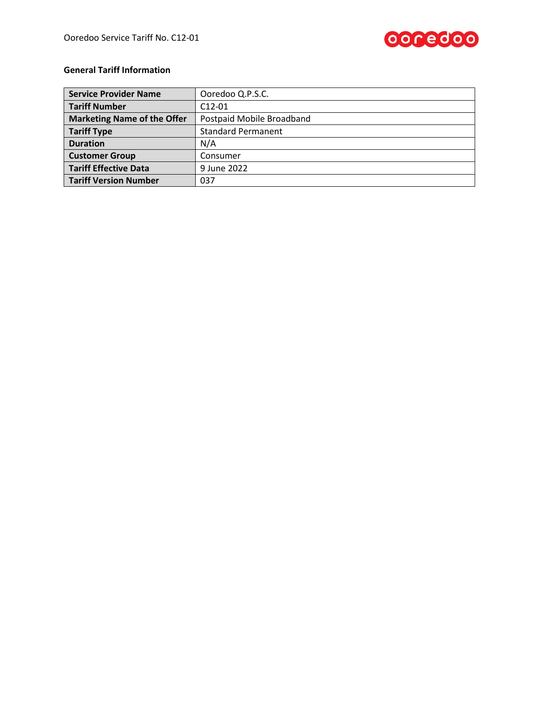

# **General Tariff Information**

| <b>Service Provider Name</b>       | Ooredoo Q.P.S.C.          |
|------------------------------------|---------------------------|
| <b>Tariff Number</b>               | $C12-01$                  |
| <b>Marketing Name of the Offer</b> | Postpaid Mobile Broadband |
| <b>Tariff Type</b>                 | <b>Standard Permanent</b> |
| <b>Duration</b>                    | N/A                       |
| <b>Customer Group</b>              | Consumer                  |
| <b>Tariff Effective Data</b>       | 9 June 2022               |
| <b>Tariff Version Number</b>       | 037                       |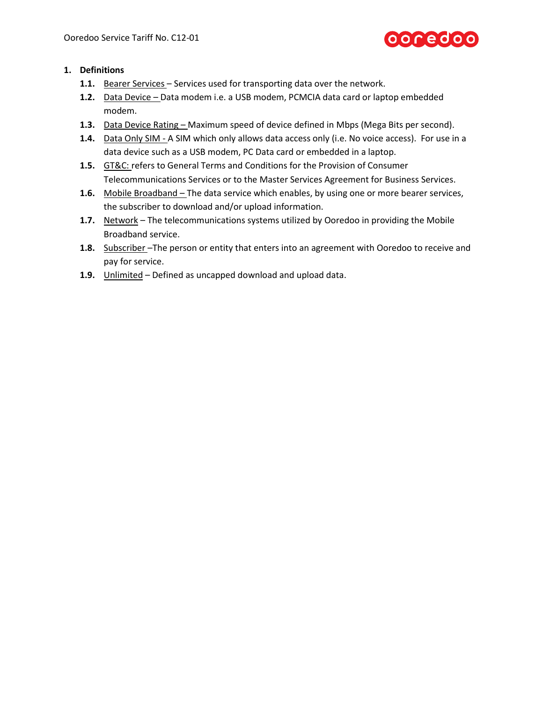# ooredoo

# **1. Definitions**

- **1.1.** Bearer Services Services used for transporting data over the network.
- **1.2.** Data Device Data modem i.e. a USB modem, PCMCIA data card or laptop embedded modem.
- **1.3.** Data Device Rating Maximum speed of device defined in Mbps (Mega Bits per second).
- **1.4.** Data Only SIM A SIM which only allows data access only (i.e. No voice access). For use in a data device such as a USB modem, PC Data card or embedded in a laptop.
- **1.5.** GT&C: refers to General Terms and Conditions for the Provision of Consumer Telecommunications Services or to the Master Services Agreement for Business Services.
- **1.6.** Mobile Broadband The data service which enables, by using one or more bearer services, the subscriber to download and/or upload information.
- **1.7.** Network The telecommunications systems utilized by Ooredoo in providing the Mobile Broadband service.
- **1.8.** Subscriber –The person or entity that enters into an agreement with Ooredoo to receive and pay for service.
- **1.9.** Unlimited Defined as uncapped download and upload data.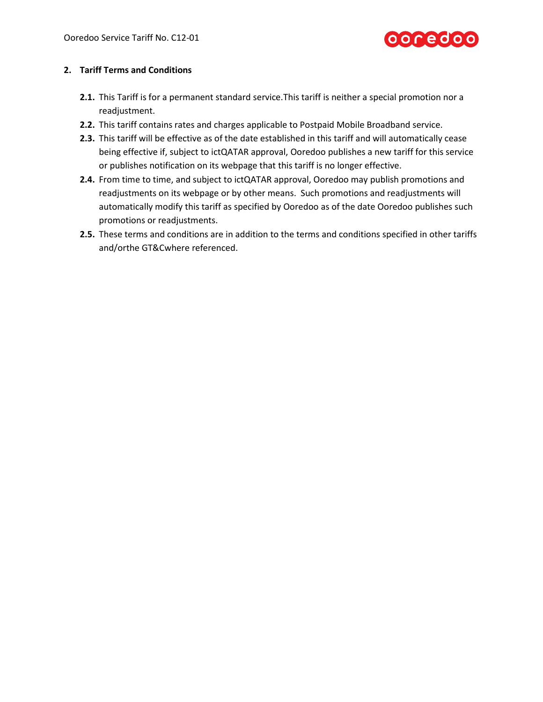

# **2. Tariff Terms and Conditions**

- **2.1.** This Tariff is for a permanent standard service.This tariff is neither a special promotion nor a readjustment.
- **2.2.** This tariff contains rates and charges applicable to Postpaid Mobile Broadband service.
- **2.3.** This tariff will be effective as of the date established in this tariff and will automatically cease being effective if, subject to ictQATAR approval, Ooredoo publishes a new tariff for this service or publishes notification on its webpage that this tariff is no longer effective.
- **2.4.** From time to time, and subject to ictQATAR approval, Ooredoo may publish promotions and readjustments on its webpage or by other means. Such promotions and readjustments will automatically modify this tariff as specified by Ooredoo as of the date Ooredoo publishes such promotions or readjustments.
- **2.5.** These terms and conditions are in addition to the terms and conditions specified in other tariffs and/orthe GT&Cwhere referenced.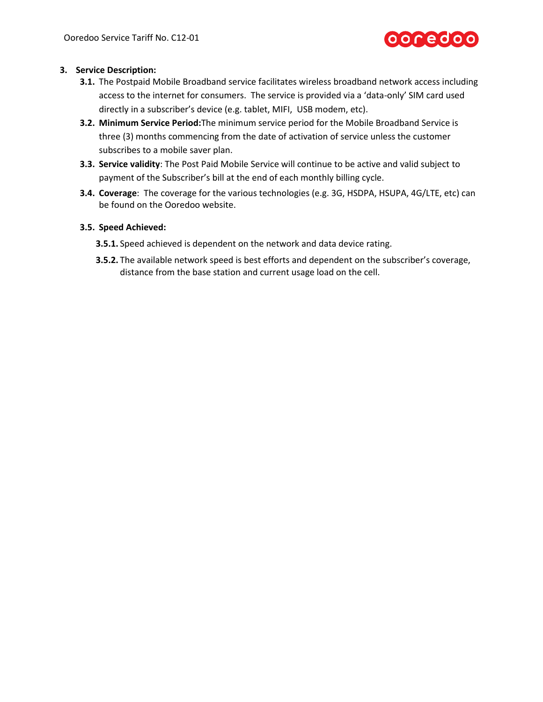

# **3. Service Description:**

- **3.1.** The Postpaid Mobile Broadband service facilitates wireless broadband network access including access to the internet for consumers. The service is provided via a 'data-only' SIM card used directly in a subscriber's device (e.g. tablet, MIFI, USB modem, etc).
- **3.2. Minimum Service Period:**The minimum service period for the Mobile Broadband Service is three (3) months commencing from the date of activation of service unless the customer subscribes to a mobile saver plan.
- **3.3. Service validity**: The Post Paid Mobile Service will continue to be active and valid subject to payment of the Subscriber's bill at the end of each monthly billing cycle.
- <span id="page-3-0"></span>**3.4. Coverage**: The coverage for the various technologies (e.g. 3G, HSDPA, HSUPA, 4G/LTE, etc) can be found on the Ooredoo website.

# **3.5. Speed Achieved:**

- **3.5.1.** Speed achieved is dependent on the network and data device rating.
- **3.5.2.** The available network speed is best efforts and dependent on the subscriber's coverage, distance from the base station and current usage load on the cell.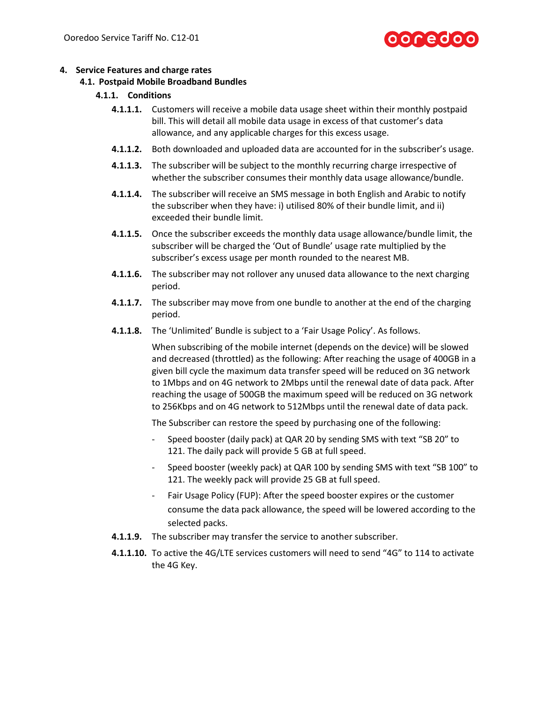# 0 C e d o c

### **4. Service Features and charge rates**

#### **4.1. Postpaid Mobile Broadband Bundles**

### **4.1.1. Conditions**

- **4.1.1.1.** Customers will receive a mobile data usage sheet within their monthly postpaid bill. This will detail all mobile data usage in excess of that customer's data allowance, and any applicable charges for this excess usage.
- **4.1.1.2.** Both downloaded and uploaded data are accounted for in the subscriber's usage.
- **4.1.1.3.** The subscriber will be subject to the monthly recurring charge irrespective of whether the subscriber consumes their monthly data usage allowance/bundle.
- **4.1.1.4.** The subscriber will receive an SMS message in both English and Arabic to notify the subscriber when they have: i) utilised 80% of their bundle limit, and ii) exceeded their bundle limit.
- **4.1.1.5.** Once the subscriber exceeds the monthly data usage allowance/bundle limit, the subscriber will be charged the 'Out of Bundle' usage rate multiplied by the subscriber's excess usage per month rounded to the nearest MB.
- **4.1.1.6.** The subscriber may not rollover any unused data allowance to the next charging period.
- **4.1.1.7.** The subscriber may move from one bundle to another at the end of the charging period.
- **4.1.1.8.** The 'Unlimited' Bundle is subject to a 'Fair Usage Policy'. As follows.

When subscribing of the mobile internet (depends on the device) will be slowed and decreased (throttled) as the following: After reaching the usage of 400GB in a given bill cycle the maximum data transfer speed will be reduced on 3G network to 1Mbps and on 4G network to 2Mbps until the renewal date of data pack. After reaching the usage of 500GB the maximum speed will be reduced on 3G network to 256Kbps and on 4G network to 512Mbps until the renewal date of data pack.

The Subscriber can restore the speed by purchasing one of the following:

- Speed booster (daily pack) at QAR 20 by sending SMS with text "SB 20" to 121. The daily pack will provide 5 GB at full speed.
- Speed booster (weekly pack) at QAR 100 by sending SMS with text "SB 100" to 121. The weekly pack will provide 25 GB at full speed.
- Fair Usage Policy (FUP): After the speed booster expires or the customer consume the data pack allowance, the speed will be lowered according to the selected packs.
- **4.1.1.9.** The subscriber may transfer the service to another subscriber.
- **4.1.1.10.** To active the 4G/LTE services customers will need to send "4G" to 114 to activate the 4G Key.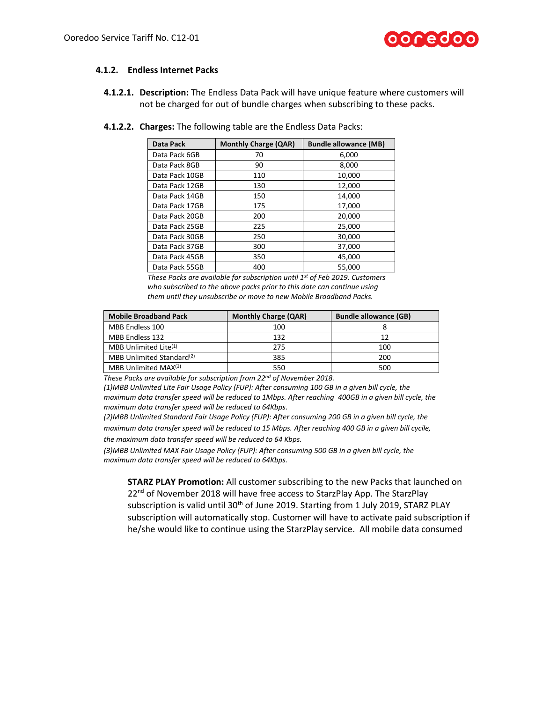

#### **4.1.2. Endless Internet Packs**

**4.1.2.1. Description:** The Endless Data Pack will have unique feature where customers will not be charged for out of bundle charges when subscribing to these packs.

| Data Pack      | <b>Monthly Charge (QAR)</b> | <b>Bundle allowance (MB)</b> |
|----------------|-----------------------------|------------------------------|
| Data Pack 6GB  | 70                          | 6,000                        |
| Data Pack 8GB  | 90                          | 8,000                        |
| Data Pack 10GB | 110                         | 10,000                       |
| Data Pack 12GB | 130                         | 12,000                       |
| Data Pack 14GB | 150                         | 14,000                       |
| Data Pack 17GB | 175                         | 17,000                       |
| Data Pack 20GB | 200                         | 20,000                       |
| Data Pack 25GB | 225                         | 25,000                       |
| Data Pack 30GB | 250                         | 30,000                       |
| Data Pack 37GB | 300                         | 37,000                       |
| Data Pack 45GB | 350                         | 45,000                       |
| Data Pack 55GB | 400                         | 55,000                       |

**4.1.2.2. Charges:** The following table are the Endless Data Packs:

*These Packs are available for subscription until 1st of Feb 2019. Customers who subscribed to the above packs prior to this date can continue using them until they unsubscribe or move to new Mobile Broadband Packs.*

| <b>Mobile Broadband Pack</b>          | <b>Monthly Charge (QAR)</b> | <b>Bundle allowance (GB)</b> |
|---------------------------------------|-----------------------------|------------------------------|
| MBB Endless 100                       | 100                         |                              |
| MBB Endless 132                       | 132                         | 12                           |
| MBB Unlimited Lite $(1)$              | 275                         | 100                          |
| MBB Unlimited Standard <sup>(2)</sup> | 385                         | 200                          |
| MBB Unlimited MAX(3)                  | 550                         | 500                          |

*These Packs are available for subscription from 22nd of November 2018.*

*(1)MBB Unlimited Lite Fair Usage Policy (FUP): After consuming 100 GB in a given bill cycle, the maximum data transfer speed will be reduced to 1Mbps. After reaching 400GB in a given bill cycle, the maximum data transfer speed will be reduced to 64Kbps.*

*(2)MBB Unlimited Standard Fair Usage Policy (FUP): After consuming 200 GB in a given bill cycle, the maximum data transfer speed will be reduced to 15 Mbps. After reaching 400 GB in a given bill cycile, the maximum data transfer speed will be reduced to 64 Kbps.*

*(3)MBB Unlimited MAX Fair Usage Policy (FUP): After consuming 500 GB in a given bill cycle, the maximum data transfer speed will be reduced to 64Kbps.*

**STARZ PLAY Promotion:** All customer subscribing to the new Packs that launched on 22<sup>nd</sup> of November 2018 will have free access to StarzPlay App. The StarzPlay subscription is valid until 30<sup>th</sup> of June 2019. Starting from 1 July 2019, STARZ PLAY subscription will automatically stop. Customer will have to activate paid subscription if he/she would like to continue using the StarzPlay service. All mobile data consumed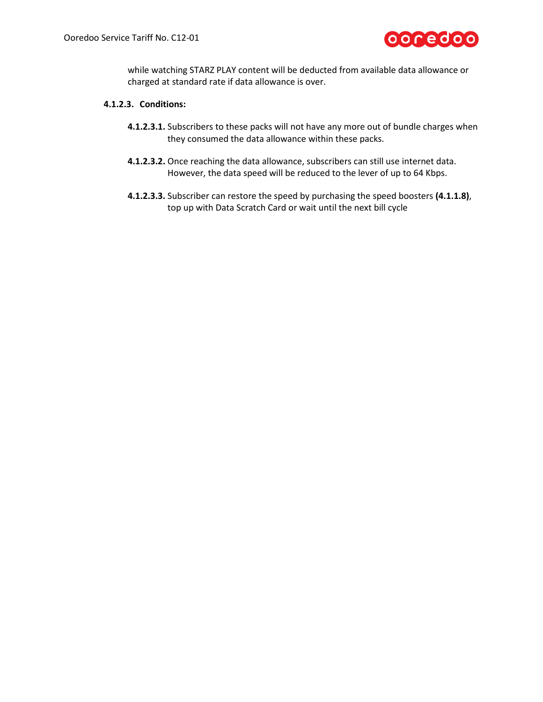

while watching STARZ PLAY content will be deducted from available data allowance or charged at standard rate if data allowance is over.

# **4.1.2.3. Conditions:**

- **4.1.2.3.1.** Subscribers to these packs will not have any more out of bundle charges when they consumed the data allowance within these packs.
- **4.1.2.3.2.** Once reaching the data allowance, subscribers can still use internet data. However, the data speed will be reduced to the lever of up to 64 Kbps.
- **4.1.2.3.3.** Subscriber can restore the speed by purchasing the speed boosters **(4.1.1.8)**, top up with Data Scratch Card or wait until the next bill cycle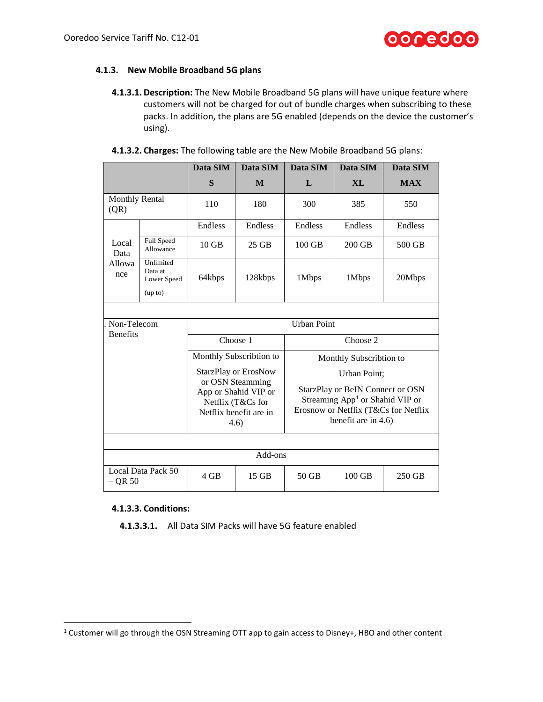## **4.1.3. New Mobile Broadband 5G plans**

**4.1.3.1. Description:** The New Mobile Broadband 5G plans will have unique feature where customers will not be charged for out of bundle charges when subscribing to these packs. In addition, the plans are 5G enabled (depends on the device the customer's using).

|                               |                                                | Data SIM                                                                                                                       | Data SIM                | Data SIM                                                                                                                                                       | Data SIM                | Data SIM   |  |
|-------------------------------|------------------------------------------------|--------------------------------------------------------------------------------------------------------------------------------|-------------------------|----------------------------------------------------------------------------------------------------------------------------------------------------------------|-------------------------|------------|--|
|                               |                                                | S                                                                                                                              | M                       | L                                                                                                                                                              | X <sub>L</sub>          | <b>MAX</b> |  |
| <b>Monthly Rental</b><br>(QR) |                                                | 110                                                                                                                            | 180                     | 300                                                                                                                                                            | 385                     | 550        |  |
|                               |                                                | Endless                                                                                                                        | Endless                 | Endless                                                                                                                                                        | Endless                 | Endless    |  |
| Local<br>Data                 | <b>Full Speed</b><br>Allowance                 | $10$ GB                                                                                                                        | $25$ GB                 | 100 GB                                                                                                                                                         | 200 GB                  | 500 GB     |  |
| Allowa<br>nce                 | Unlimited<br>Data at<br>Lower Speed<br>(up to) | 64kbps                                                                                                                         | 128kbps                 | 1Mbps                                                                                                                                                          | 1Mbps                   | 20Mbps     |  |
| Non-Telecom                   |                                                |                                                                                                                                |                         | <b>Urban Point</b>                                                                                                                                             |                         |            |  |
| <b>Benefits</b>               |                                                |                                                                                                                                | Choose 1                |                                                                                                                                                                | Choose 2                |            |  |
|                               |                                                |                                                                                                                                | Monthly Subscribtion to |                                                                                                                                                                | Monthly Subscribtion to |            |  |
|                               |                                                | <b>StarzPlay or ErosNow</b><br>or OSN Steamming<br>App or Shahid VIP or<br>Netflix (T&Cs for<br>Netflix benefit are in<br>4.6) |                         | Urban Point;<br>StarzPlay or BeIN Connect or OSN<br>Streaming App <sup>1</sup> or Shahid VIP or<br>Erosnow or Netflix (T&Cs for Netflix<br>benefit are in 4.6) |                         |            |  |
|                               |                                                |                                                                                                                                |                         |                                                                                                                                                                |                         |            |  |
|                               |                                                |                                                                                                                                | Add-ons                 |                                                                                                                                                                |                         |            |  |
| $-$ QR 50                     | Local Data Pack 50                             | $4$ GB                                                                                                                         | 15 GB                   | $50$ GB                                                                                                                                                        | 100 GB                  | 250 GB     |  |

#### **4.1.3.3. Conditions:**

 $\overline{\phantom{a}}$ 

**4.1.3.3.1.** All Data SIM Packs will have 5G feature enabled

<sup>1</sup> Customer will go through the OSN Streaming OTT app to gain access to Disney+, HBO and other content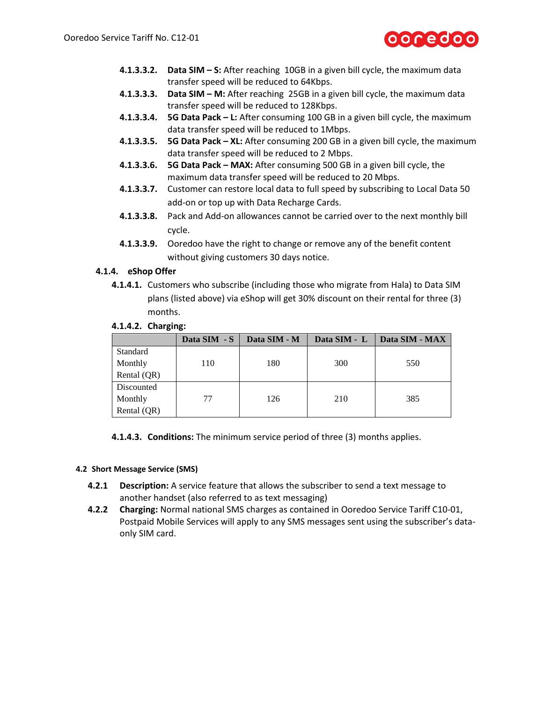

- **4.1.3.3.2. Data SIM – S:** After reaching 10GB in a given bill cycle, the maximum data transfer speed will be reduced to 64Kbps.
- **4.1.3.3.3. Data SIM – M:** After reaching 25GB in a given bill cycle, the maximum data transfer speed will be reduced to 128Kbps.
- **4.1.3.3.4. 5G Data Pack – L:** After consuming 100 GB in a given bill cycle, the maximum data transfer speed will be reduced to 1Mbps.
- **4.1.3.3.5. 5G Data Pack – XL:** After consuming 200 GB in a given bill cycle, the maximum data transfer speed will be reduced to 2 Mbps.
- **4.1.3.3.6. 5G Data Pack – MAX:** After consuming 500 GB in a given bill cycle, the maximum data transfer speed will be reduced to 20 Mbps.
- **4.1.3.3.7.** Customer can restore local data to full speed by subscribing to Local Data 50 add-on or top up with Data Recharge Cards.
- **4.1.3.3.8.** Pack and Add-on allowances cannot be carried over to the next monthly bill cycle.
- **4.1.3.3.9.** Ooredoo have the right to change or remove any of the benefit content without giving customers 30 days notice.

# **4.1.4. eShop Offer**

**4.1.4.1.** Customers who subscribe (including those who migrate from Hala) to Data SIM plans (listed above) via eShop will get 30% discount on their rental for three (3) months.

|  | 4.1.4.2. Charging: |
|--|--------------------|
|--|--------------------|

|             | Data SIM - S | Data SIM - M | Data SIM - L | Data SIM - MAX |
|-------------|--------------|--------------|--------------|----------------|
| Standard    |              |              |              |                |
| Monthly     | 110          | 180          | 300          | 550            |
| Rental (QR) |              |              |              |                |
| Discounted  |              |              |              |                |
| Monthly     | 77           | 126          | 210          | 385            |
| Rental (QR) |              |              |              |                |

**4.1.4.3. Conditions:** The minimum service period of three (3) months applies.

#### **4.2 Short Message Service (SMS)**

- **4.2.1 Description:** A service feature that allows the subscriber to send a text message to another handset (also referred to as text messaging)
- **4.2.2 Charging:** Normal national SMS charges as contained in Ooredoo Service Tariff C10-01, Postpaid Mobile Services will apply to any SMS messages sent using the subscriber's dataonly SIM card.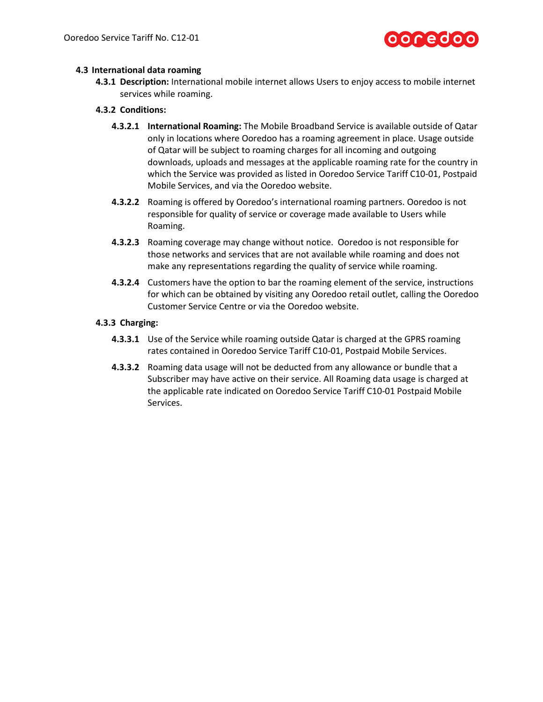

## **4.3 International data roaming**

**4.3.1 Description:** International mobile internet allows Users to enjoy access to mobile internet services while roaming.

### **4.3.2 Conditions:**

- **4.3.2.1 International Roaming:** The Mobile Broadband Service is available outside of Qatar only in locations where Ooredoo has a roaming agreement in place. Usage outside of Qatar will be subject to roaming charges for all incoming and outgoing downloads, uploads and messages at the applicable roaming rate for the country in which the Service was provided as listed in Ooredoo Service Tariff C10-01, Postpaid Mobile Services, and via the Ooredoo website.
- **4.3.2.2** Roaming is offered by Ooredoo's international roaming partners. Ooredoo is not responsible for quality of service or coverage made available to Users while Roaming.
- **4.3.2.3** Roaming coverage may change without notice. Ooredoo is not responsible for those networks and services that are not available while roaming and does not make any representations regarding the quality of service while roaming.
- **4.3.2.4** Customers have the option to bar the roaming element of the service, instructions for which can be obtained by visiting any Ooredoo retail outlet, calling the Ooredoo Customer Service Centre or via the Ooredoo website.

### **4.3.3 Charging:**

- **4.3.3.1** Use of the Service while roaming outside Qatar is charged at the GPRS roaming rates contained in Ooredoo Service Tariff C10-01, Postpaid Mobile Services.
- **4.3.3.2** Roaming data usage will not be deducted from any allowance or bundle that a Subscriber may have active on their service. All Roaming data usage is charged at the applicable rate indicated on Ooredoo Service Tariff C10-01 Postpaid Mobile Services.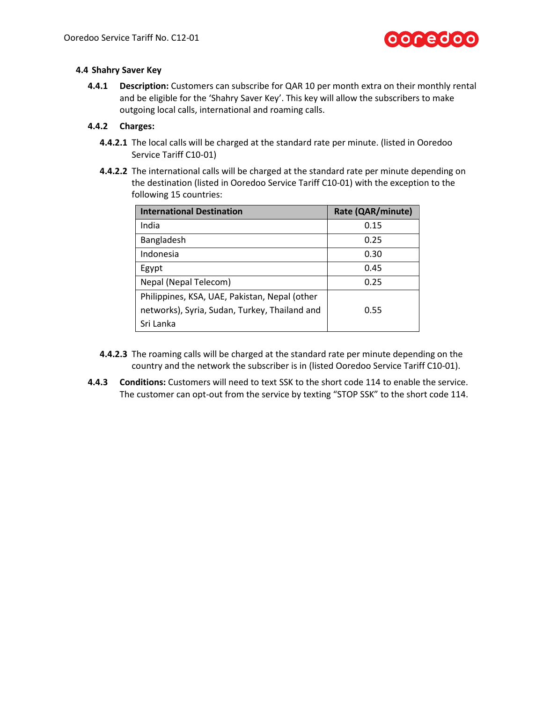

## **4.4 Shahry Saver Key**

**4.4.1 Description:** Customers can subscribe for QAR 10 per month extra on their monthly rental and be eligible for the 'Shahry Saver Key'. This key will allow the subscribers to make outgoing local calls, international and roaming calls.

## **4.4.2 Charges:**

- **4.4.2.1** The local calls will be charged at the standard rate per minute. (listed in Ooredoo Service Tariff C10-01)
- **4.4.2.2** The international calls will be charged at the standard rate per minute depending on the destination (listed in Ooredoo Service Tariff C10-01) with the exception to the following 15 countries:

| <b>International Destination</b>              | Rate (QAR/minute) |
|-----------------------------------------------|-------------------|
| India                                         | 0.15              |
| Bangladesh                                    | 0.25              |
| Indonesia                                     | 0.30              |
| Egypt                                         | 0.45              |
| Nepal (Nepal Telecom)                         | 0.25              |
| Philippines, KSA, UAE, Pakistan, Nepal (other |                   |
| networks), Syria, Sudan, Turkey, Thailand and | 0.55              |
| Sri Lanka                                     |                   |

- **4.4.2.3** The roaming calls will be charged at the standard rate per minute depending on the country and the network the subscriber is in (listed Ooredoo Service Tariff C10-01).
- **4.4.3 Conditions:** Customers will need to text SSK to the short code 114 to enable the service. The customer can opt-out from the service by texting "STOP SSK" to the short code 114.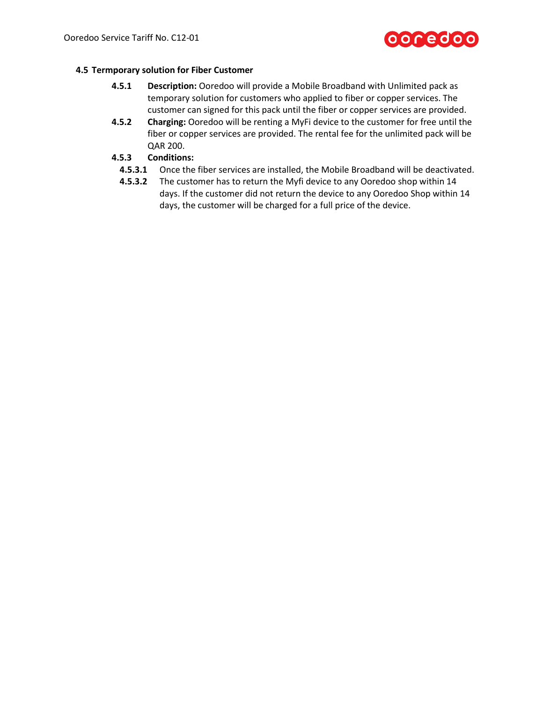# **OOCEOOO**

# **4.5 Termporary solution for Fiber Customer**

- **4.5.1 Description:** Ooredoo will provide a Mobile Broadband with Unlimited pack as temporary solution for customers who applied to fiber or copper services. The customer can signed for this pack until the fiber or copper services are provided.
- **4.5.2 Charging:** Ooredoo will be renting a MyFi device to the customer for free until the fiber or copper services are provided. The rental fee for the unlimited pack will be QAR 200.
- **4.5.3 Conditions:**
	- **4.5.3.1** Once the fiber services are installed, the Mobile Broadband will be deactivated.
	- **4.5.3.2** The customer has to return the Myfi device to any Ooredoo shop within 14 days. If the customer did not return the device to any Ooredoo Shop within 14 days, the customer will be charged for a full price of the device.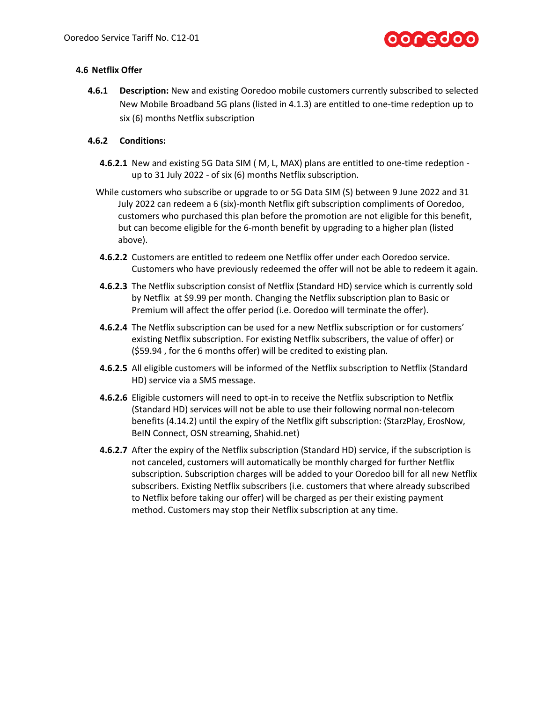

# **4.6 Netflix Offer**

**4.6.1 Description:** New and existing Ooredoo mobile customers currently subscribed to selected New Mobile Broadband 5G plans (listed in 4.1.3) are entitled to one-time redeption up to six (6) months Netflix subscription

# **4.6.2 Conditions:**

- **4.6.2.1** New and existing 5G Data SIM ( M, L, MAX) plans are entitled to one-time redeption up to 31 July 2022 - of six (6) months Netflix subscription.
- While customers who subscribe or upgrade to or 5G Data SIM (S) between 9 June 2022 and 31 July 2022 can redeem a 6 (six)-month Netflix gift subscription compliments of Ooredoo, customers who purchased this plan before the promotion are not eligible for this benefit, but can become eligible for the 6-month benefit by upgrading to a higher plan (listed above).
- **4.6.2.2** Customers are entitled to redeem one Netflix offer under each Ooredoo service. Customers who have previously redeemed the offer will not be able to redeem it again.
- **4.6.2.3** The Netflix subscription consist of Netflix (Standard HD) service which is currently sold by Netflix at \$9.99 per month. Changing the Netflix subscription plan to Basic or Premium will affect the offer period (i.e. Ooredoo will terminate the offer).
- **4.6.2.4** The Netflix subscription can be used for a new Netflix subscription or for customers' existing Netflix subscription. For existing Netflix subscribers, the value of offer) or (\$59.94 , for the 6 months offer) will be credited to existing plan.
- **4.6.2.5** All eligible customers will be informed of the Netflix subscription to Netflix (Standard HD) service via a SMS message.
- **4.6.2.6** Eligible customers will need to opt-in to receive the Netflix subscription to Netflix (Standard HD) services will not be able to use their following normal non-telecom benefits (4.14.2) until the expiry of the Netflix gift subscription: (StarzPlay, ErosNow, BeIN Connect, OSN streaming, Shahid.net)
- **4.6.2.7** After the expiry of the Netflix subscription (Standard HD) service, if the subscription is not canceled, customers will automatically be monthly charged for further Netflix subscription. Subscription charges will be added to your Ooredoo bill for all new Netflix subscribers. Existing Netflix subscribers (i.e. customers that where already subscribed to Netflix before taking our offer) will be charged as per their existing payment method. Customers may stop their Netflix subscription at any time.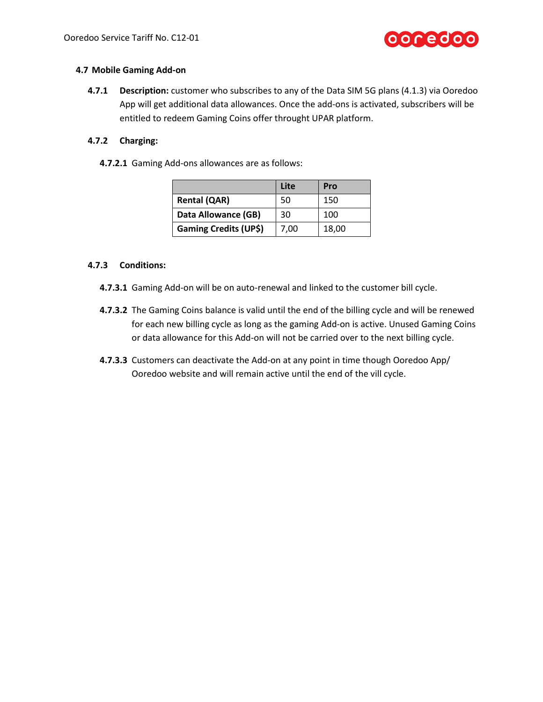

### **4.7 Mobile Gaming Add-on**

**4.7.1 Description:** customer who subscribes to any of the Data SIM 5G plans (4.1.3) via Ooredoo App will get additional data allowances. Once the add-ons is activated, subscribers will be entitled to redeem Gaming Coins offer throught UPAR platform.

# **4.7.2 Charging:**

**4.7.2.1** Gaming Add-ons allowances are as follows:

|                              | Lite | Pro   |
|------------------------------|------|-------|
| <b>Rental (QAR)</b>          | 50   | 150   |
| Data Allowance (GB)          | 30   | 100   |
| <b>Gaming Credits (UP\$)</b> | 7,00 | 18,00 |

## **4.7.3 Conditions:**

- **4.7.3.1** Gaming Add-on will be on auto-renewal and linked to the customer bill cycle.
- **4.7.3.2** The Gaming Coins balance is valid until the end of the billing cycle and will be renewed for each new billing cycle as long as the gaming Add-on is active. Unused Gaming Coins or data allowance for this Add-on will not be carried over to the next billing cycle.
- **4.7.3.3** Customers can deactivate the Add-on at any point in time though Ooredoo App/ Ooredoo website and will remain active until the end of the vill cycle.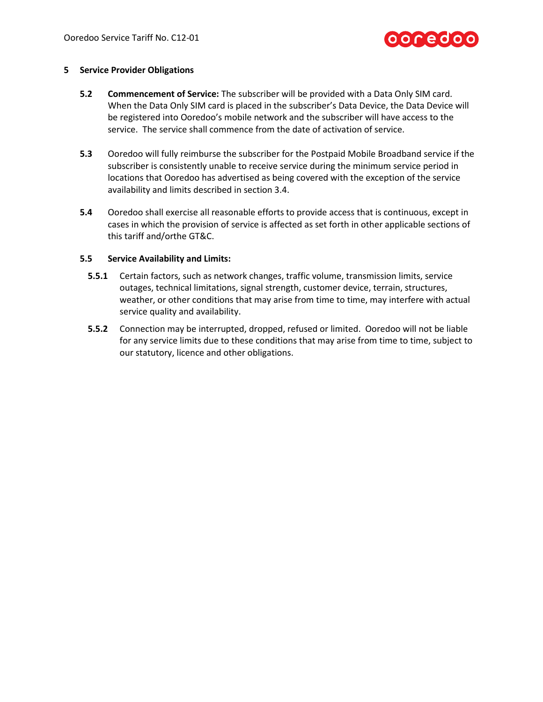

#### **5 Service Provider Obligations**

- **5.2 Commencement of Service:** The subscriber will be provided with a Data Only SIM card. When the Data Only SIM card is placed in the subscriber's Data Device, the Data Device will be registered into Ooredoo's mobile network and the subscriber will have access to the service. The service shall commence from the date of activation of service.
- **5.3** Ooredoo will fully reimburse the subscriber for the Postpaid Mobile Broadband service if the subscriber is consistently unable to receive service during the minimum service period in locations that Ooredoo has advertised as being covered with the exception of the service availability and limits described in section [3.4.](#page-3-0)
- **5.4** Ooredoo shall exercise all reasonable efforts to provide access that is continuous, except in cases in which the provision of service is affected as set forth in other applicable sections of this tariff and/orthe GT&C.

#### **5.5 Service Availability and Limits:**

- **5.5.1** Certain factors, such as network changes, traffic volume, transmission limits, service outages, technical limitations, signal strength, customer device, terrain, structures, weather, or other conditions that may arise from time to time, may interfere with actual service quality and availability.
- **5.5.2** Connection may be interrupted, dropped, refused or limited. Ooredoo will not be liable for any service limits due to these conditions that may arise from time to time, subject to our statutory, licence and other obligations.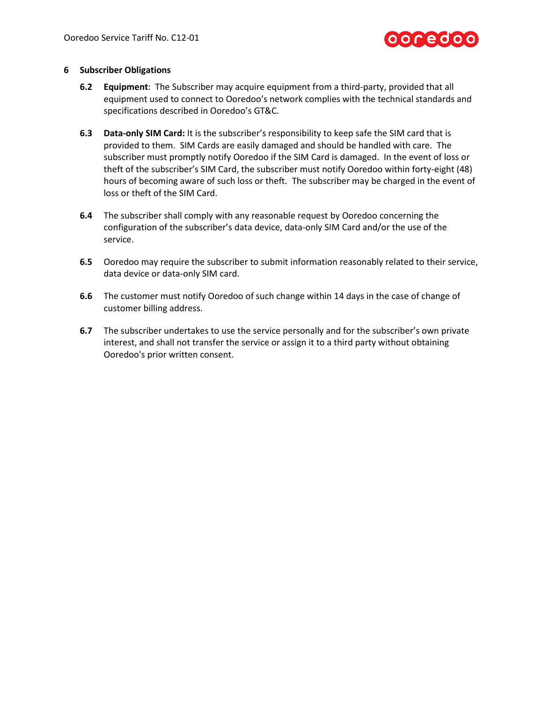

### **6 Subscriber Obligations**

- **6.2 Equipment**: The Subscriber may acquire equipment from a third-party, provided that all equipment used to connect to Ooredoo's network complies with the technical standards and specifications described in Ooredoo's GT&C.
- **6.3 Data-only SIM Card:** It is the subscriber's responsibility to keep safe the SIM card that is provided to them. SIM Cards are easily damaged and should be handled with care. The subscriber must promptly notify Ooredoo if the SIM Card is damaged. In the event of loss or theft of the subscriber's SIM Card, the subscriber must notify Ooredoo within forty-eight (48) hours of becoming aware of such loss or theft. The subscriber may be charged in the event of loss or theft of the SIM Card.
- **6.4** The subscriber shall comply with any reasonable request by Ooredoo concerning the configuration of the subscriber's data device, data-only SIM Card and/or the use of the service.
- **6.5** Ooredoo may require the subscriber to submit information reasonably related to their service, data device or data-only SIM card.
- **6.6** The customer must notify Ooredoo of such change within 14 days in the case of change of customer billing address.
- **6.7** The subscriber undertakes to use the service personally and for the subscriber's own private interest, and shall not transfer the service or assign it to a third party without obtaining Ooredoo's prior written consent.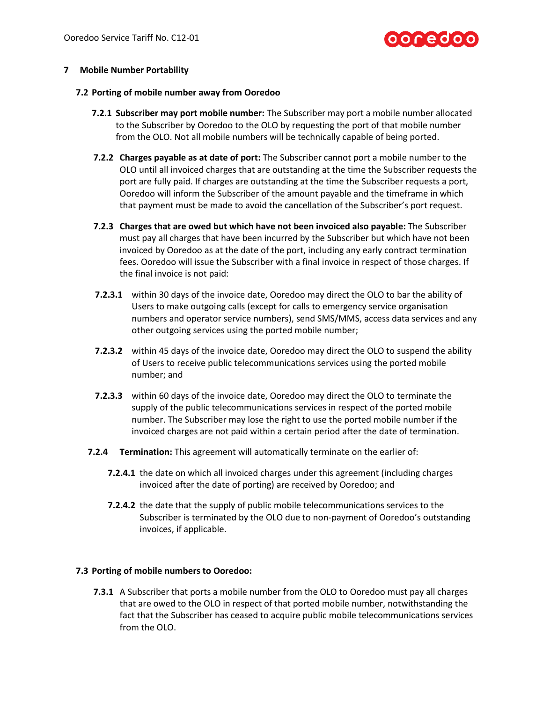# ooredoo

## **7 Mobile Number Portability**

#### **7.2 Porting of mobile number away from Ooredoo**

- **7.2.1 Subscriber may port mobile number:** The Subscriber may port a mobile number allocated to the Subscriber by Ooredoo to the OLO by requesting the port of that mobile number from the OLO. Not all mobile numbers will be technically capable of being ported.
- **7.2.2 Charges payable as at date of port:** The Subscriber cannot port a mobile number to the OLO until all invoiced charges that are outstanding at the time the Subscriber requests the port are fully paid. If charges are outstanding at the time the Subscriber requests a port, Ooredoo will inform the Subscriber of the amount payable and the timeframe in which that payment must be made to avoid the cancellation of the Subscriber's port request.
- **7.2.3 Charges that are owed but which have not been invoiced also payable:** The Subscriber must pay all charges that have been incurred by the Subscriber but which have not been invoiced by Ooredoo as at the date of the port, including any early contract termination fees. Ooredoo will issue the Subscriber with a final invoice in respect of those charges. If the final invoice is not paid:
- **7.2.3.1** within 30 days of the invoice date, Ooredoo may direct the OLO to bar the ability of Users to make outgoing calls (except for calls to emergency service organisation numbers and operator service numbers), send SMS/MMS, access data services and any other outgoing services using the ported mobile number;
- **7.2.3.2** within 45 days of the invoice date, Ooredoo may direct the OLO to suspend the ability of Users to receive public telecommunications services using the ported mobile number; and
- **7.2.3.3** within 60 days of the invoice date, Ooredoo may direct the OLO to terminate the supply of the public telecommunications services in respect of the ported mobile number. The Subscriber may lose the right to use the ported mobile number if the invoiced charges are not paid within a certain period after the date of termination.
- **7.2.4 Termination:** This agreement will automatically terminate on the earlier of:
	- **7.2.4.1** the date on which all invoiced charges under this agreement (including charges invoiced after the date of porting) are received by Ooredoo; and
	- **7.2.4.2** the date that the supply of public mobile telecommunications services to the Subscriber is terminated by the OLO due to non-payment of Ooredoo's outstanding invoices, if applicable.

# **7.3 Porting of mobile numbers to Ooredoo:**

**7.3.1** A Subscriber that ports a mobile number from the OLO to Ooredoo must pay all charges that are owed to the OLO in respect of that ported mobile number, notwithstanding the fact that the Subscriber has ceased to acquire public mobile telecommunications services from the OLO.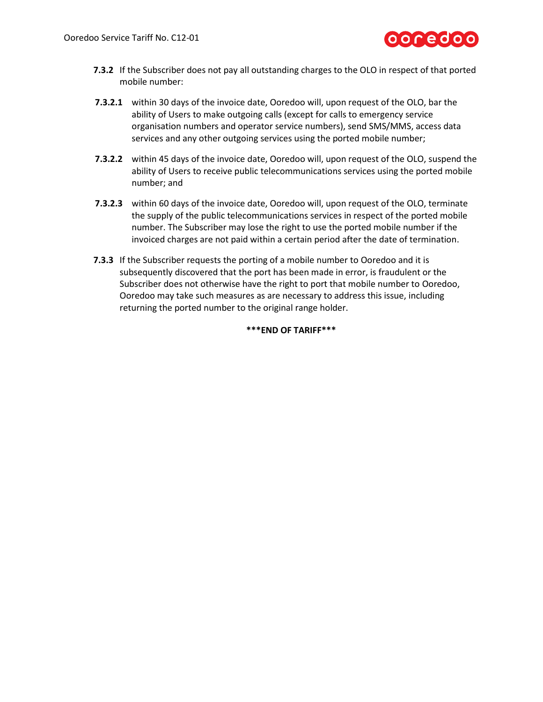

- **7.3.2** If the Subscriber does not pay all outstanding charges to the OLO in respect of that ported mobile number:
- **7.3.2.1** within 30 days of the invoice date, Ooredoo will, upon request of the OLO, bar the ability of Users to make outgoing calls (except for calls to emergency service organisation numbers and operator service numbers), send SMS/MMS, access data services and any other outgoing services using the ported mobile number;
- **7.3.2.2** within 45 days of the invoice date, Ooredoo will, upon request of the OLO, suspend the ability of Users to receive public telecommunications services using the ported mobile number; and
- **7.3.2.3** within 60 days of the invoice date, Ooredoo will, upon request of the OLO, terminate the supply of the public telecommunications services in respect of the ported mobile number. The Subscriber may lose the right to use the ported mobile number if the invoiced charges are not paid within a certain period after the date of termination.
- **7.3.3** If the Subscriber requests the porting of a mobile number to Ooredoo and it is subsequently discovered that the port has been made in error, is fraudulent or the Subscriber does not otherwise have the right to port that mobile number to Ooredoo, Ooredoo may take such measures as are necessary to address this issue, including returning the ported number to the original range holder.

### **\*\*\*END OF TARIFF\*\*\***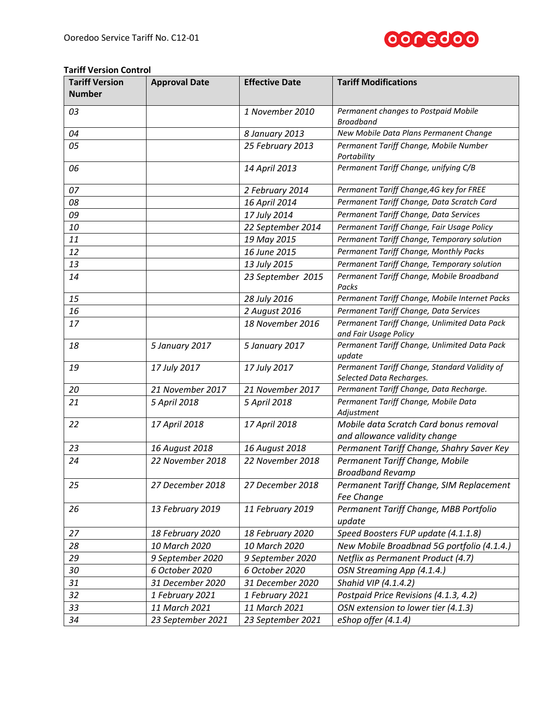

# **Tariff Version Control**

| <b>Tariff Version</b><br><b>Number</b> | <b>Approval Date</b> | <b>Effective Date</b> | <b>Tariff Modifications</b>                                               |
|----------------------------------------|----------------------|-----------------------|---------------------------------------------------------------------------|
| 03                                     |                      | 1 November 2010       | Permanent changes to Postpaid Mobile<br><b>Broadband</b>                  |
| 04                                     |                      | 8 January 2013        | New Mobile Data Plans Permanent Change                                    |
| 05                                     |                      | 25 February 2013      | Permanent Tariff Change, Mobile Number<br>Portability                     |
| 06                                     |                      | 14 April 2013         | Permanent Tariff Change, unifying C/B                                     |
| 07                                     |                      | 2 February 2014       | Permanent Tariff Change, 4G key for FREE                                  |
| 08                                     |                      | 16 April 2014         | Permanent Tariff Change, Data Scratch Card                                |
| 09                                     |                      | 17 July 2014          | Permanent Tariff Change, Data Services                                    |
| 10                                     |                      | 22 September 2014     | Permanent Tariff Change, Fair Usage Policy                                |
| 11                                     |                      | 19 May 2015           | Permanent Tariff Change, Temporary solution                               |
| 12                                     |                      | 16 June 2015          | Permanent Tariff Change, Monthly Packs                                    |
| 13                                     |                      | 13 July 2015          | Permanent Tariff Change, Temporary solution                               |
| 14                                     |                      | 23 September 2015     | Permanent Tariff Change, Mobile Broadband<br>Packs                        |
| 15                                     |                      | 28 July 2016          | Permanent Tariff Change, Mobile Internet Packs                            |
| 16                                     |                      | 2 August 2016         | Permanent Tariff Change, Data Services                                    |
| 17                                     |                      | 18 November 2016      | Permanent Tariff Change, Unlimited Data Pack<br>and Fair Usage Policy     |
| 18                                     | 5 January 2017       | 5 January 2017        | Permanent Tariff Change, Unlimited Data Pack<br>update                    |
| 19                                     | 17 July 2017         | 17 July 2017          | Permanent Tariff Change, Standard Validity of<br>Selected Data Recharges. |
| 20                                     | 21 November 2017     | 21 November 2017      | Permanent Tariff Change, Data Recharge.                                   |
| 21                                     | 5 April 2018         | 5 April 2018          | Permanent Tariff Change, Mobile Data<br>Adjustment                        |
| 22                                     | 17 April 2018        | 17 April 2018         | Mobile data Scratch Card bonus removal<br>and allowance validity change   |
| 23                                     | 16 August 2018       | 16 August 2018        | Permanent Tariff Change, Shahry Saver Key                                 |
| 24                                     | 22 November 2018     | 22 November 2018      | Permanent Tariff Change, Mobile<br><b>Broadband Revamp</b>                |
| 25                                     | 27 December 2018     | 27 December 2018      | Permanent Tariff Change, SIM Replacement<br>Fee Change                    |
| 26                                     | 13 February 2019     | 11 February 2019      | Permanent Tariff Change, MBB Portfolio<br>update                          |
| 27                                     | 18 February 2020     | 18 February 2020      | Speed Boosters FUP update (4.1.1.8)                                       |
| 28                                     | 10 March 2020        | 10 March 2020         | New Mobile Broadbnad 5G portfolio (4.1.4.)                                |
| 29                                     | 9 September 2020     | 9 September 2020      | Netflix as Permanent Product (4.7)                                        |
| 30                                     | 6 October 2020       | 6 October 2020        | OSN Streaming App (4.1.4.)                                                |
| 31                                     | 31 December 2020     | 31 December 2020      | Shahid VIP (4.1.4.2)                                                      |
| 32                                     | 1 February 2021      | 1 February 2021       | Postpaid Price Revisions (4.1.3, 4.2)                                     |
| 33                                     | 11 March 2021        | 11 March 2021         | OSN extension to lower tier (4.1.3)                                       |
| 34                                     | 23 September 2021    | 23 September 2021     | eShop offer (4.1.4)                                                       |